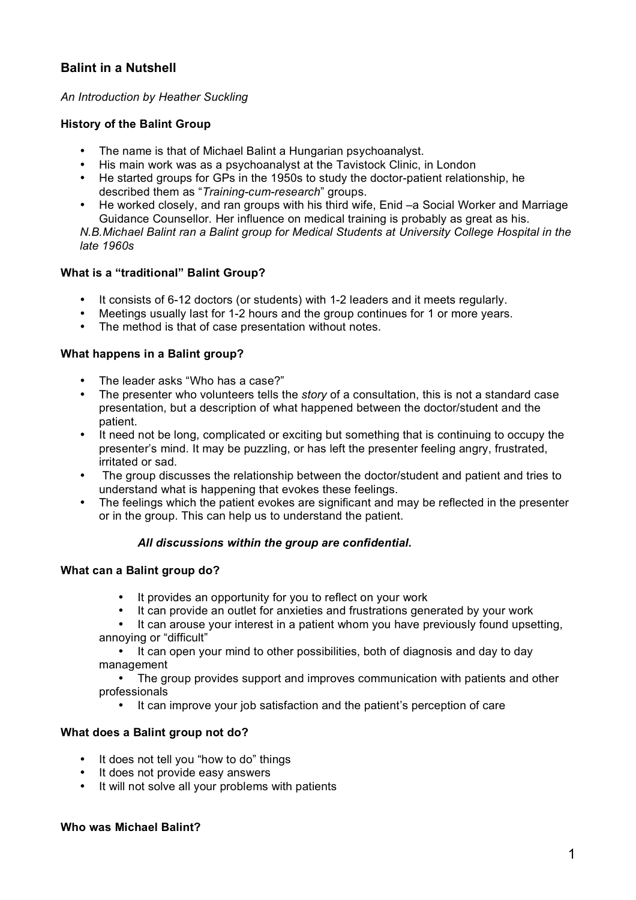# **Balint in a Nutshell**

*An Introduction by Heather Suckling* 

## **History of the Balint Group**

- The name is that of Michael Balint a Hungarian psychoanalyst.
- His main work was as a psychoanalyst at the Tavistock Clinic, in London
- He started groups for GPs in the 1950s to study the doctor-patient relationship, he described them as "*Training-cum-research*" groups.
- He worked closely, and ran groups with his third wife, Enid –a Social Worker and Marriage Guidance Counsellor. Her influence on medical training is probably as great as his.

*N.B.Michael Balint ran a Balint group for Medical Students at University College Hospital in the late 1960s*

## **What is a "traditional" Balint Group?**

- It consists of 6-12 doctors (or students) with 1-2 leaders and it meets regularly.
- Meetings usually last for 1-2 hours and the group continues for 1 or more years.
- The method is that of case presentation without notes.

## **What happens in a Balint group?**

- The leader asks "Who has a case?"
- The presenter who volunteers tells the *story* of a consultation, this is not a standard case presentation, but a description of what happened between the doctor/student and the patient.
- It need not be long, complicated or exciting but something that is continuing to occupy the presenter's mind. It may be puzzling, or has left the presenter feeling angry, frustrated, irritated or sad.
- The group discusses the relationship between the doctor/student and patient and tries to understand what is happening that evokes these feelings.
- The feelings which the patient evokes are significant and may be reflected in the presenter or in the group. This can help us to understand the patient.

#### *All discussions within the group are confidential.*

#### **What can a Balint group do?**

- It provides an opportunity for you to reflect on your work
- It can provide an outlet for anxieties and frustrations generated by your work

It can arouse your interest in a patient whom you have previously found upsetting, annoying or "difficult"

• It can open your mind to other possibilities, both of diagnosis and day to day management

• The group provides support and improves communication with patients and other professionals

• It can improve your job satisfaction and the patient's perception of care

#### **What does a Balint group not do?**

- It does not tell you "how to do" things
- It does not provide easy answers
- It will not solve all your problems with patients